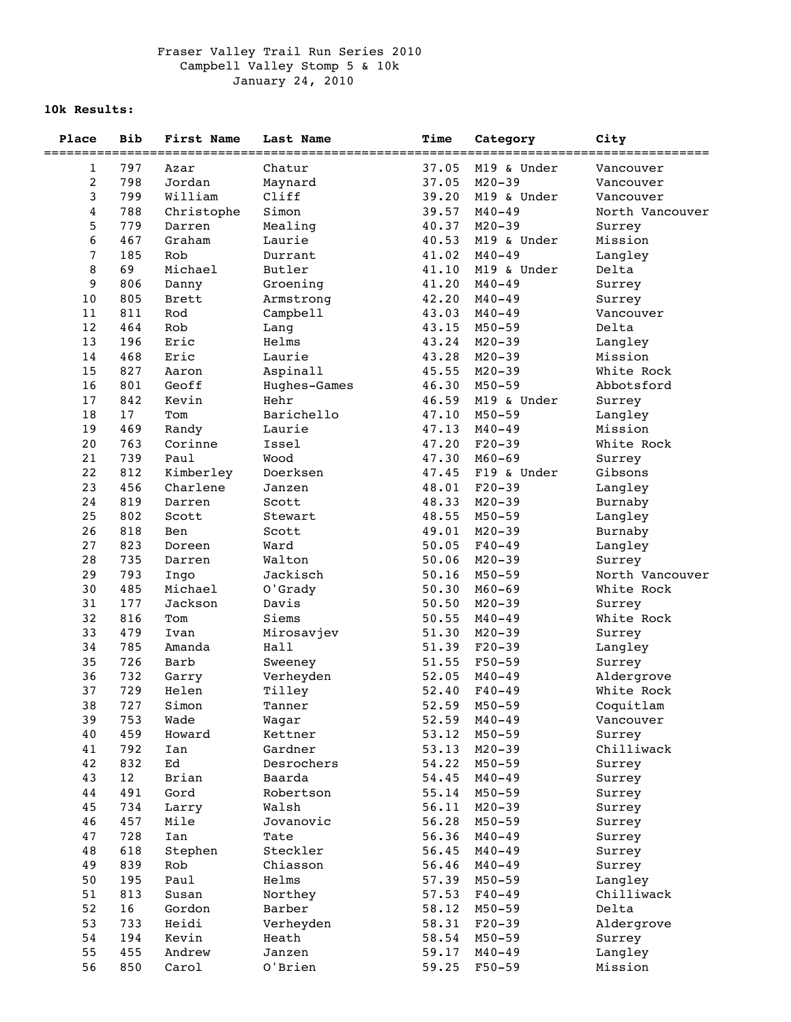## Fraser Valley Trail Run Series 2010 Campbell Valley Stomp 5 & 10k January 24, 2010

## **10k Results:**

| Place                   | <b>Bib</b> | First Name   | Last Name    | Time  | Category    | City            |
|-------------------------|------------|--------------|--------------|-------|-------------|-----------------|
|                         |            |              |              |       |             |                 |
| 1                       | 797        | Azar         | Chatur       | 37.05 | M19 & Under | Vancouver       |
| $\overline{\mathbf{c}}$ | 798        | Jordan       | Maynard      | 37.05 | $M20 - 39$  | Vancouver       |
| 3                       | 799        | William      | Cliff        | 39.20 | M19 & Under | Vancouver       |
| 4                       | 788        | Christophe   | Simon        | 39.57 | $M40 - 49$  | North Vancouver |
| 5                       | 779        | Darren       | Mealing      | 40.37 | $M20 - 39$  | Surrey          |
| 6                       | 467        | Graham       | Laurie       | 40.53 | M19 & Under | Mission         |
| 7                       | 185        | Rob          | Durrant      | 41.02 | $M40 - 49$  | Langley         |
| 8                       | 69         | Michael      | Butler       | 41.10 | M19 & Under | Delta           |
| 9                       | 806        | Danny        | Groening     | 41.20 | $M40 - 49$  | Surrey          |
| 10                      | 805        | <b>Brett</b> | Armstrong    | 42.20 | $M40 - 49$  | Surrey          |
| 11                      | 811        | Rod          | Campbell     | 43.03 | $M40 - 49$  | Vancouver       |
| 12                      | 464        | Rob          | Lang         | 43.15 | $M50 - 59$  | Delta           |
| 13                      | 196        | Eric         | Helms        | 43.24 | $M20 - 39$  | Langley         |
| 14                      | 468        | Eric         | Laurie       | 43.28 | $M20 - 39$  | Mission         |
| 15                      | 827        | Aaron        | Aspinall     | 45.55 | $M20 - 39$  | White Rock      |
| 16                      | 801        | Geoff        | Hughes-Games | 46.30 | $M50 - 59$  | Abbotsford      |
| 17                      | 842        | Kevin        | Hehr         | 46.59 | M19 & Under | Surrey          |
| 18                      | 17         | Tom          | Barichello   | 47.10 | $M50 - 59$  | Langley         |
| 19                      | 469        | Randy        | Laurie       | 47.13 | $M40 - 49$  | Mission         |
| 20                      | 763        | Corinne      | Issel        | 47.20 | $F20-39$    | White Rock      |
| 21                      | 739        | Paul         | Wood         | 47.30 | $M60 - 69$  | Surrey          |
| 22                      | 812        | Kimberley    | Doerksen     | 47.45 | F19 & Under | Gibsons         |
| 23                      | 456        | Charlene     | Janzen       | 48.01 | $F20-39$    | Langley         |
| 24                      | 819        | Darren       | Scott        | 48.33 | $M20 - 39$  | Burnaby         |
| 25                      | 802        | Scott        | Stewart      | 48.55 | $M50 - 59$  | Langley         |
| 26                      | 818        | Ben          | Scott        | 49.01 | $M20 - 39$  | Burnaby         |
| 27                      | 823        | Doreen       | Ward         | 50.05 | $F40 - 49$  | Langley         |
| 28                      | 735        | Darren       | Walton       | 50.06 | $M20 - 39$  | Surrey          |
| 29                      | 793        | Ingo         | Jackisch     | 50.16 | $M50 - 59$  | North Vancouver |
| 30                      | 485        | Michael      | O'Grady      | 50.30 | $M60 - 69$  | White Rock      |
| 31                      | 177        | Jackson      | Davis        | 50.50 | $M20 - 39$  | Surrey          |
| 32                      | 816        | Tom          | Siems        | 50.55 | $M40 - 49$  | White Rock      |
| 33                      | 479        | Ivan         | Mirosavjev   | 51.30 | $M20 - 39$  | Surrey          |
| 34                      | 785        | Amanda       | Hall         | 51.39 | $F20-39$    | Langley         |
| 35                      | 726        | Barb         | Sweeney      | 51.55 | $F50 - 59$  | Surrey          |
| 36                      | 732        | Garry        | Verheyden    | 52.05 | $M40 - 49$  | Aldergrove      |
| 37                      | 729        | Helen        | Tilley       | 52.40 | $F40 - 49$  | White Rock      |
| 38                      | 727        | Simon        | Tanner       | 52.59 | $M50 - 59$  | Coquitlam       |
| 39                      | 753        | Wade         | Wagar        | 52.59 | $M40 - 49$  | Vancouver       |
| 40                      | 459        | Howard       | Kettner      | 53.12 | $M50 - 59$  | Surrey          |
| 41                      | 792        | Ian          | Gardner      | 53.13 | $M20 - 39$  | Chilliwack      |
| 42                      | 832        | $_{\rm Ed}$  | Desrochers   | 54.22 | $M50 - 59$  | Surrey          |
| 43                      | 12         | Brian        | Baarda       | 54.45 | $M40 - 49$  | Surrey          |
| 44                      | 491        | Gord         | Robertson    | 55.14 | $M50 - 59$  | Surrey          |
| 45                      | 734        | Larry        | Walsh        | 56.11 | $M20 - 39$  | Surrey          |
| 46                      | 457        | Mile         | Jovanovic    | 56.28 | $M50 - 59$  | Surrey          |
| 47                      | 728        | Ian          | Tate         | 56.36 | $M40 - 49$  | Surrey          |
| 48                      | 618        | Stephen      | Steckler     | 56.45 | $M40 - 49$  | Surrey          |
| 49                      | 839        | Rob          | Chiasson     | 56.46 | $M40 - 49$  | Surrey          |
| 50                      | 195        | Paul         | Helms        | 57.39 | $M50 - 59$  | Langley         |
| 51                      | 813        | Susan        | Northey      | 57.53 | $F40 - 49$  | Chilliwack      |
| 52                      | 16         | Gordon       | Barber       | 58.12 | $M50 - 59$  | Delta           |
| 53                      | 733        | Heidi        | Verheyden    | 58.31 | $F20-39$    | Aldergrove      |
| 54                      | 194        | Kevin        | Heath        | 58.54 | $M50 - 59$  | Surrey          |
| 55                      | 455        | Andrew       | Janzen       | 59.17 | $M40 - 49$  | Langley         |
| 56                      | 850        | Carol        | O'Brien      | 59.25 | $F50 - 59$  | Mission         |
|                         |            |              |              |       |             |                 |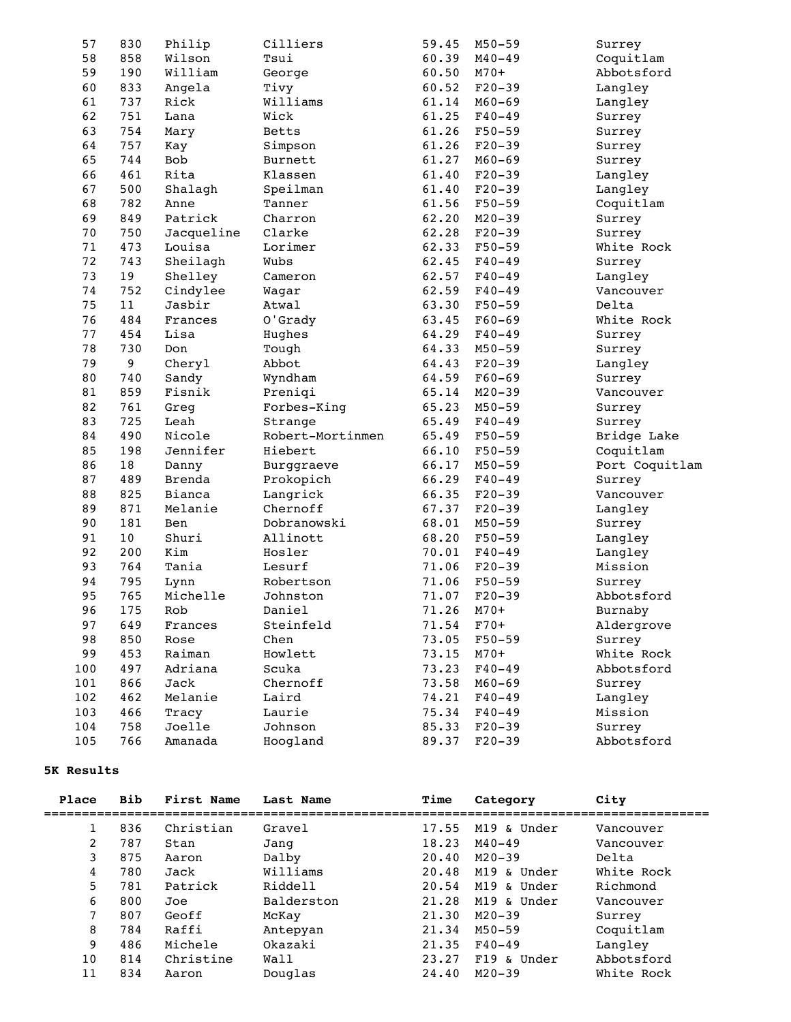| 57  | 830 | Philip        | Cilliers         | 59.45 | $M50 - 59$ | Surrey         |
|-----|-----|---------------|------------------|-------|------------|----------------|
| 58  | 858 | Wilson        | Tsui             | 60.39 | $M40 - 49$ | Coquitlam      |
| 59  | 190 | William       | George           | 60.50 | $M70+$     | Abbotsford     |
| 60  | 833 | Angela        | Tivy             | 60.52 | $F20-39$   | Langley        |
| 61  | 737 | Rick          | Williams         | 61.14 | $M60 - 69$ | Langley        |
| 62  | 751 | Lana          | Wick             | 61.25 | $F40 - 49$ | Surrey         |
| 63  | 754 | Mary          | Betts            | 61.26 | $F50 - 59$ | Surrey         |
| 64  | 757 | Kay           | Simpson          | 61.26 | $F20-39$   | Surrey         |
| 65  | 744 | Bob           | Burnett          | 61.27 | $M60 - 69$ | Surrey         |
| 66  | 461 | Rita          | Klassen          | 61.40 | $F20-39$   | Langley        |
| 67  | 500 | Shalagh       | Speilman         | 61.40 | $F20-39$   | Langley        |
| 68  | 782 | Anne          | Tanner           | 61.56 | $F50 - 59$ | Coquitlam      |
| 69  | 849 | Patrick       | Charron          | 62.20 | $M20 - 39$ | Surrey         |
| 70  | 750 | Jacqueline    | Clarke           | 62.28 | $F20-39$   | Surrey         |
| 71  | 473 | Louisa        | Lorimer          | 62.33 | $F50 - 59$ | White Rock     |
| 72  | 743 | Sheilagh      | Wubs             | 62.45 | $F40 - 49$ | Surrey         |
| 73  | 19  | Shelley       | Cameron          | 62.57 | $F40 - 49$ | Langley        |
| 74  | 752 | Cindylee      | Wagar            | 62.59 | $F40 - 49$ | Vancouver      |
| 75  | 11  | Jasbir        | Atwal            | 63.30 | $F50 - 59$ | Delta          |
| 76  | 484 | Frances       | O'Grady          | 63.45 | $F60 - 69$ | White Rock     |
| 77  | 454 | Lisa          | Hughes           | 64.29 | $F40 - 49$ | Surrey         |
| 78  | 730 | Don           | Tough            | 64.33 | $M50 - 59$ | Surrey         |
| 79  | 9   | Cheryl        | Abbot            | 64.43 | $F20-39$   | Langley        |
| 80  | 740 | Sandy         | Wyndham          | 64.59 | $F60 - 69$ | Surrey         |
| 81  | 859 | Fisnik        | Preniqi          | 65.14 | $M20 - 39$ | Vancouver      |
| 82  | 761 | Greg          | Forbes-King      | 65.23 | $M50 - 59$ | Surrey         |
| 83  | 725 | Leah          | Strange          | 65.49 | $F40 - 49$ | Surrey         |
| 84  | 490 | Nicole        | Robert-Mortinmen | 65.49 | $F50 - 59$ | Bridge Lake    |
| 85  | 198 | Jennifer      | Hiebert          | 66.10 | $F50 - 59$ | Coquitlam      |
| 86  | 18  | Danny         | Burggraeve       | 66.17 | $M50 - 59$ | Port Coquitlam |
| 87  | 489 | <b>Brenda</b> | Prokopich        | 66.29 | $F40 - 49$ | Surrey         |
| 88  | 825 | Bianca        | Langrick         | 66.35 | $F20-39$   | Vancouver      |
| 89  | 871 | Melanie       | Chernoff         | 67.37 | $F20-39$   | Langley        |
| 90  | 181 | Ben           | Dobranowski      | 68.01 | $M50 - 59$ | Surrey         |
| 91  | 10  | Shuri         | Allinott         | 68.20 | $F50 - 59$ | Langley        |
| 92  | 200 | Kim           | Hosler           | 70.01 | $F40 - 49$ | Langley        |
| 93  | 764 | Tania         | Lesurf           | 71.06 | $F20-39$   | Mission        |
| 94  | 795 | Lynn          | Robertson        | 71.06 | $F50 - 59$ | Surrey         |
| 95  | 765 | Michelle      | Johnston         | 71.07 | $F20-39$   | Abbotsford     |
| 96  | 175 | Rob           | Daniel           | 71.26 | $M70+$     | Burnaby        |
| 97  | 649 | Frances       | Steinfeld        | 71.54 | $F70+$     | Aldergrove     |
| 98  | 850 | Rose          | Chen             | 73.05 | $F50 - 59$ | Surrey         |
| 99  | 453 | Raiman        | Howlett          | 73.15 | $M70+$     | White Rock     |
| 100 | 497 | Adriana       | Scuka            | 73.23 | $F40 - 49$ | Abbotsford     |
| 101 | 866 | Jack          | Chernoff         | 73.58 | $M60 - 69$ | Surrey         |
| 102 | 462 | Melanie       | Laird            | 74.21 | $F40 - 49$ | Langley        |
| 103 | 466 | Tracy         | Laurie           | 75.34 | $F40 - 49$ | Mission        |
| 104 | 758 | Joelle        | Johnson          | 85.33 | $F20-39$   | Surrey         |
| 105 | 766 | Amanada       | Hoogland         | 89.37 | $F20-39$   | Abbotsford     |

## **5K Results**

| Place | <b>Bib</b> | First Name | Last Name  | Time  | Category    | City       |
|-------|------------|------------|------------|-------|-------------|------------|
|       | 836        | Christian  | Gravel     | 17.55 | M19 & Under | Vancouver  |
| 2     | 787        | Stan       | Jang       | 18.23 | $M40 - 49$  | Vancouver  |
| 3     | 875        | Aaron      | Dalby      | 20.40 | $M20 - 39$  | Delta      |
| 4     | 780        | Jack       | Williams   | 20.48 | M19 & Under | White Rock |
| 5     | 781        | Patrick    | Riddell    | 20.54 | M19 & Under | Richmond   |
| 6     | 800        | Joe        | Balderston | 21.28 | M19 & Under | Vancouver  |
| 7     | 807        | Geoff      | McKay      | 21.30 | $M20 - 39$  | Surrey     |
| 8     | 784        | Raffi      | Antepyan   | 21.34 | $M50 - 59$  | Coquitlam  |
| 9     | 486        | Michele    | Okazaki    | 21.35 | $F40 - 49$  | Langley    |
| 10    | 814        | Christine  | Wall       | 23.27 | F19 & Under | Abbotsford |
| 11    | 834        | Aaron      | Douglas    | 24.40 | $M20 - 39$  | White Rock |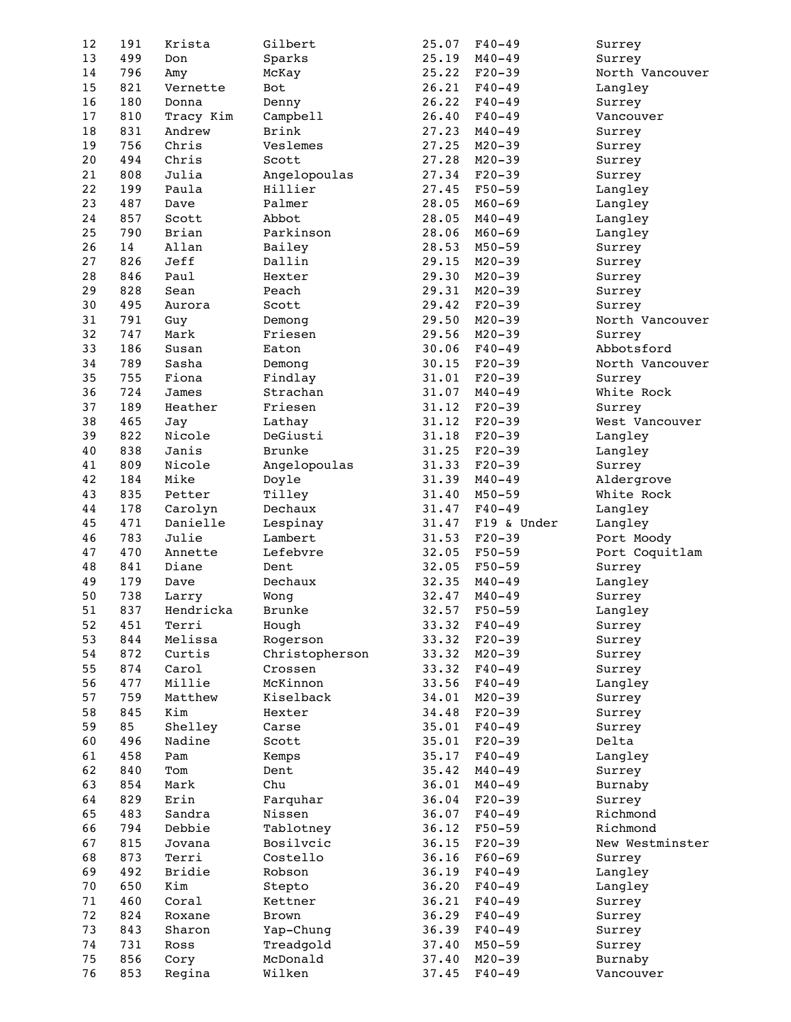| 12       | 191        | Krista                     | Gilbert            | 25.07          | $F40 - 49$               | Surrey               |
|----------|------------|----------------------------|--------------------|----------------|--------------------------|----------------------|
| 13       | 499        | Don                        | Sparks             | 25.19          | $M40 - 49$               | Surrey               |
| 14       | 796        | Amy                        | McKay              | 25.22          | $F20-39$                 | North Vancouver      |
| 15       | 821        | Vernette                   | Bot                | 26.21          | $F40 - 49$               | Langley              |
| 16       | 180        | Donna                      | Denny              | 26.22          | $F40 - 49$               | Surrey               |
| 17       | 810        | Tracy Kim                  | Campbell           | 26.40          | $F40 - 49$               | Vancouver            |
| 18       | 831        | Andrew                     | <b>Brink</b>       | 27.23          | $M40 - 49$               | Surrey               |
| 19       | 756        | Chris                      | Veslemes           | 27.25          | $M20 - 39$               | Surrey               |
| 20       | 494        | Chris                      | Scott              | 27.28          | $M20 - 39$               | Surrey               |
| 21       | 808        | Julia                      | Angelopoulas       | 27.34          | $F20-39$                 | Surrey               |
| 22       | 199        | Paula                      | Hillier            | 27.45          | $F50 - 59$               | Langley              |
| 23       | 487        | Dave                       | Palmer             | 28.05          | $M60 - 69$               | Langley              |
| 24       | 857        | Scott                      | Abbot              | 28.05          | $M40 - 49$               | Langley              |
| 25       | 790        | Brian                      | Parkinson          | 28.06          | $M60 - 69$               |                      |
| 26       | 14         | Allan                      |                    | 28.53          | $M50 - 59$               | Langley              |
|          |            |                            | Bailey             |                |                          | Surrey               |
| 27       | 826        | Jeff                       | Dallin             | 29.15          | $M20 - 39$               | Surrey               |
| 28       | 846        | Paul                       | Hexter             | 29.30          | $M20 - 39$               | Surrey               |
| 29       | 828        | Sean                       | Peach              | 29.31          | $M20 - 39$               | Surrey               |
| 30       | 495        | Aurora                     | Scott              | 29.42          | $F20-39$                 | Surrey               |
| 31       | 791        | Guy                        | Demong             | 29.50          | $M20 - 39$               | North Vancouver      |
| 32       | 747        | Mark                       | Friesen            | 29.56          | $M20 - 39$               | Surrey               |
| 33       | 186        | Susan                      | Eaton              | 30.06          | $F40 - 49$               | Abbotsford           |
| 34       | 789        | Sasha                      | Demong             | 30.15          | $F20-39$                 | North Vancouver      |
| 35       | 755        | Fiona                      | Findlay            | 31.01          | $F20-39$                 | Surrey               |
| 36       | 724        | James                      | Strachan           | 31.07          | $M40 - 49$               | White Rock           |
| 37       | 189        | Heather                    | Friesen            | 31.12          | $F20-39$                 | Surrey               |
| 38       | 465        | Jay                        | Lathay             | 31.12          | $F20-39$                 | West Vancouver       |
| 39       | 822        | Nicole                     | DeGiusti           | 31.18          | $F20-39$                 | Langley              |
| 40       | 838        | Janis                      | <b>Brunke</b>      | 31.25          | $F20-39$                 | Langley              |
| 41       | 809        | Nicole                     | Angelopoulas       | 31.33          | $F20-39$                 | Surrey               |
| 42       | 184        | Mike                       | Doyle              | 31.39          | $M40 - 49$               | Aldergrove           |
| 43       | 835        | Petter                     | Tilley             | 31.40          | $M50 - 59$               | White Rock           |
|          |            |                            |                    |                |                          |                      |
|          |            |                            |                    |                |                          |                      |
| 44       | 178        | Carolyn                    | Dechaux            | 31.47          | $F40 - 49$               | Langley              |
| 45       | 471        | Danielle                   | Lespinay           | 31.47          | F19 & Under              | Langley              |
| 46       | 783        | Julie                      | Lambert            | 31.53          | $F20-39$                 | Port Moody           |
| 47       | 470        | Annette                    | Lefebvre           | 32.05          | $F50 - 59$               | Port Coquitlam       |
| 48       | 841        | Diane                      | Dent               | 32.05          | $F50 - 59$               | Surrey               |
| 49       | 179        | Dave                       | Dechaux            | 32.35          | $M40 - 49$               | Langley              |
| 50       | 738        | Larry                      | Wong               | 32.47          | $M40 - 49$               | Surrey               |
| 51       | 837        | Hendricka                  | <b>Brunke</b>      | 32.57          | $F50 - 59$               | Langley              |
| 52       | 451        | Terri                      | Hough              | 33.32          | $F40 - 49$               | Surrey               |
| 53       | 844        | Melissa                    | Rogerson           | 33.32          | $F20-39$                 | Surrey               |
| 54       | 872        | Curtis                     | Christopherson     | 33.32          | $M20 - 39$               | Surrey               |
| 55       | 874        | Carol                      | Crossen            | 33.32          | $F40 - 49$               | Surrey               |
| 56       | 477        | Millie                     | McKinnon           | 33.56          | $F40 - 49$               | Langley              |
| 57       | 759        | Matthew                    | Kiselback          | 34.01          | $M20 - 39$               | Surrey               |
| 58       | 845        | Kim                        | Hexter             | 34.48          | $F20-39$                 | Surrey               |
| 59       | 85         | Shelley                    | Carse              | 35.01          | $F40 - 49$               | Surrey               |
| 60       | 496        | Nadine                     | Scott              | 35.01          | $F20-39$                 | Delta                |
| 61       | 458        | Pam                        | Kemps              | 35.17          | $F40 - 49$               | Langley              |
| 62       | 840        | Tom                        | Dent               | 35.42          | $M40 - 49$               | Surrey               |
| 63       | 854        | Mark                       | Chu                | 36.01          | $M40 - 49$               | Burnaby              |
| 64       | 829        |                            |                    | 36.04          | $F20-39$                 |                      |
|          |            | $\ensuremath{\text{Erin}}$ | Farquhar           |                |                          | Surrey<br>Richmond   |
| 65       | 483        | Sandra                     | Nissen             | 36.07          | $F40 - 49$               |                      |
| 66       | 794        | Debbie                     | Tablotney          | 36.12          | $F50 - 59$               | Richmond             |
| 67       | 815        | Jovana                     | Bosilvcic          | 36.15          | $F20-39$                 | New Westminster      |
| 68       | 873        | Terri                      | Costello           | 36.16          | $F60 - 69$               | Surrey               |
| 69       | 492        | Bridie                     | Robson             | 36.19          | $F40 - 49$               | Langley              |
| 70       | 650        | Kim                        | Stepto             | 36.20          | $F40 - 49$               | Langley              |
| 71       | 460        | Coral                      | Kettner            | 36.21          | $F40 - 49$               | Surrey               |
| 72       | 824        | Roxane                     | Brown              | 36.29          | $F40 - 49$               | Surrey               |
| 73       | 843        | Sharon                     | Yap-Chung          | 36.39          | $F40 - 49$               | Surrey               |
| 74       | 731        | Ross                       | Treadgold          | 37.40          | $M50 - 59$               | Surrey               |
| 75<br>76 | 856<br>853 | Cory<br>Regina             | McDonald<br>Wilken | 37.40<br>37.45 | $M20 - 39$<br>$F40 - 49$ | Burnaby<br>Vancouver |